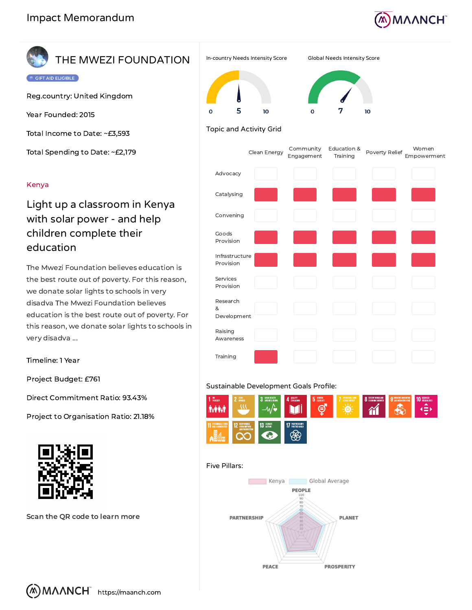

## THE MWEZI FOUNDATION

**DE CIFT AID ELIGIBLE** 

Reg.country: United Kingdom

Year Founded: 2015

Total Income to Date: ~£3,593

Total Spending to Date: ~£2,179

### Kenya

## Light up a classroom in Kenya with solar power - and help children complete their education

The Mwezi Foundation believes education is the best route out of poverty. For this reason, we donate solar lights to schools in very disadva The Mwezi Foundation believes education is the best route out of poverty. For this reason, we donate solar lights to schools in very disadva ...

Timeline: 1 Year

Project Budget: £761

Direct Commitment Ratio: 93.43%

Project to Organisation Ratio: 21.18%



Scan the QR code to learn more



# 10

### Topic and Activity Grid

5

10

|                              | Clean Energy | Community<br>Engagement | Education &<br>Training | Poverty Relief | Women<br>Empowerment |
|------------------------------|--------------|-------------------------|-------------------------|----------------|----------------------|
| Advocacy                     |              |                         |                         |                |                      |
| Catalysing                   |              |                         |                         |                |                      |
| Convening                    |              |                         |                         |                |                      |
| Goods<br>Provision           |              |                         |                         |                |                      |
| Infrastructure<br>Provision  |              |                         |                         |                |                      |
| Services<br>Provision        |              |                         |                         |                |                      |
| Research<br>&<br>Development |              |                         |                         |                |                      |
| Raising<br>Awareness         |              |                         |                         |                |                      |
| Training                     |              |                         |                         |                |                      |

### Sustainable Development Goals Profile:



#### Five Pillars: